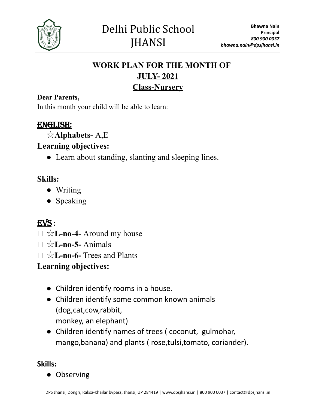

# **WORK PLAN FOR THE MONTH OF JULY- 2021 Class-Nursery**

#### **Dear Parents,**

In this month your child will be able to learn:

### ENGLISH:

☆**Alphabets-** A,E

### **Learning objectives:**

**●** Learn about standing, slanting and sleeping lines.

### **Skills:**

- Writing
- Speaking

# EVS **:**

- ⮚ ☆**L-no-4-** Around my house
- **⮚** ☆**L-no-5-** Animals
- **⮚** ☆**L-no-6-** Trees and Plants

### **Learning objectives:**

- Children identify rooms in a house.
- Children identify some common known animals (dog,cat,cow,rabbit, monkey, an elephant)
- Children identify names of trees ( coconut, gulmohar, mango,banana) and plants ( rose,tulsi,tomato, coriander).

#### **Skills:**

● Observing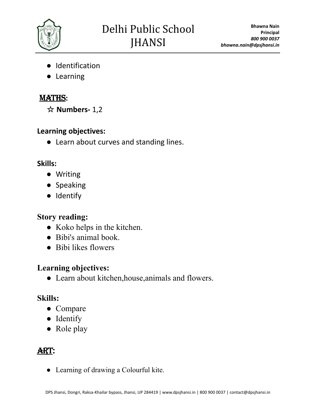

- Identification
- Learning

# MATHS**:**

☆ **Numbers-** 1,2

### **Learning objectives:**

● Learn about curves and standing lines.

## **Skills:**

- Writing
- Speaking
- Identify

# **Story reading:**

- Koko helps in the kitchen.
- Bibi's animal book.
- Bibi likes flowers

# **Learning objectives:**

● Learn about kitchen,house,animals and flowers.

# **Skills:**

- Compare
- Identify
- Role play

# Art:

● Learning of drawing a Colourful kite.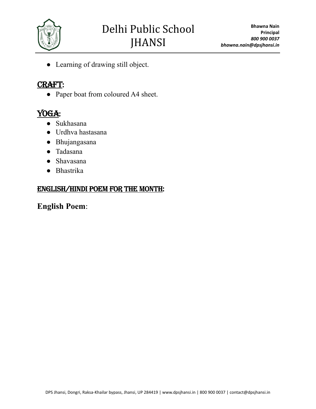

● Learning of drawing still object.

#### CRAFT:

• Paper boat from coloured A4 sheet.

# YOGA:

- Sukhasana
- Urdhva hastasana
- Bhujangasana
- Tadasana
- Shavasana
- Bhastrika

#### English/Hindi poem for the month:

#### **English Poem**: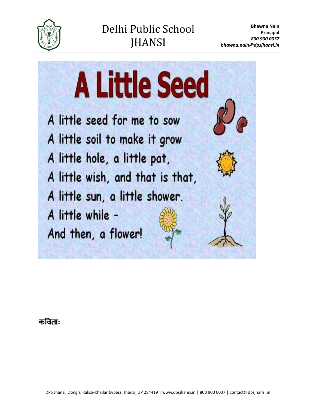



कविता: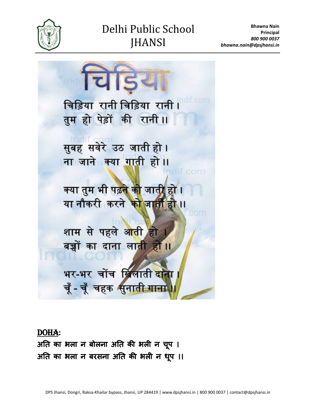

# Delhi Public School **JHANSI**



DOHA**:** अति का भला न बोलना अति की भली न चप ू । अति का भला न बरसना अति की भली न धप ू ।।